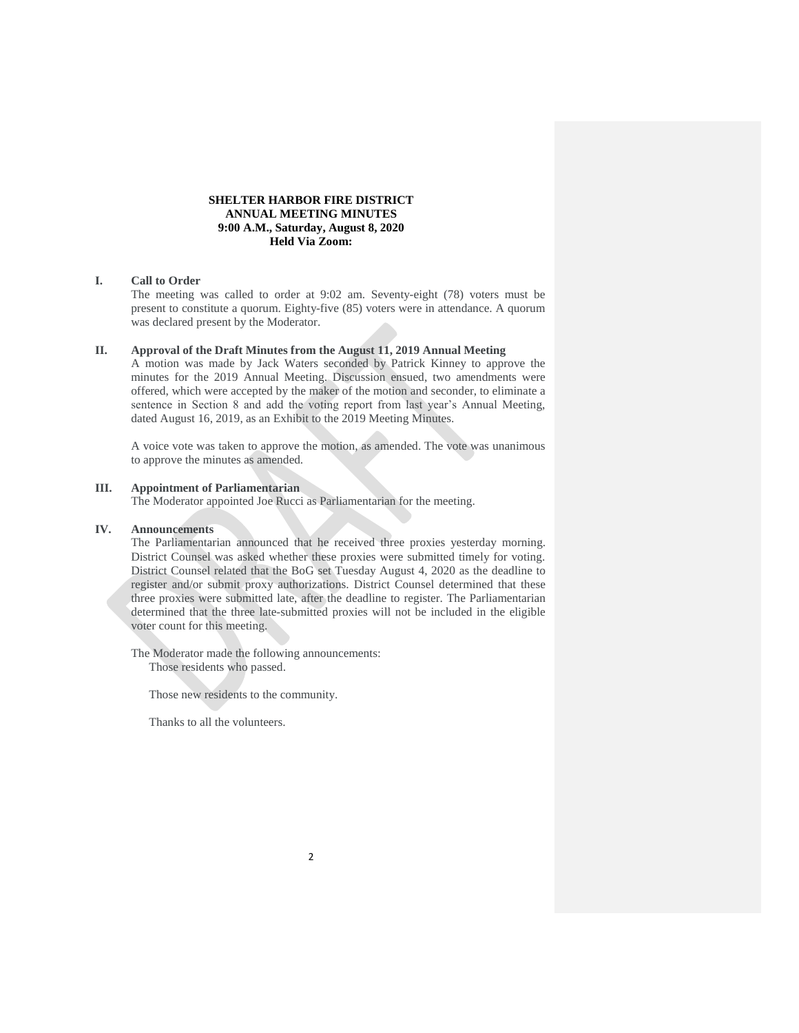# **SHELTER HARBOR FIRE DISTRICT ANNUAL MEETING MINUTES 9:00 A.M., Saturday, August 8, 2020 Held Via Zoom:**

# **I. Call to Order**

The meeting was called to order at 9:02 am. Seventy-eight (78) voters must be present to constitute a quorum. Eighty-five (85) voters were in attendance. A quorum was declared present by the Moderator.

### **II. Approval of the Draft Minutes from the August 11, 2019 Annual Meeting**

A motion was made by Jack Waters seconded by Patrick Kinney to approve the minutes for the 2019 Annual Meeting. Discussion ensued, two amendments were offered, which were accepted by the maker of the motion and seconder, to eliminate a sentence in Section 8 and add the voting report from last year's Annual Meeting, dated August 16, 2019, as an Exhibit to the 2019 Meeting Minutes.

A voice vote was taken to approve the motion, as amended. The vote was unanimous to approve the minutes as amended.

# **III. Appointment of Parliamentarian**

The Moderator appointed Joe Rucci as Parliamentarian for the meeting.

### **IV. Announcements**

The Parliamentarian announced that he received three proxies yesterday morning. District Counsel was asked whether these proxies were submitted timely for voting. District Counsel related that the BoG set Tuesday August 4, 2020 as the deadline to register and/or submit proxy authorizations. District Counsel determined that these three proxies were submitted late, after the deadline to register. The Parliamentarian determined that the three late-submitted proxies will not be included in the eligible voter count for this meeting.

The Moderator made the following announcements: Those residents who passed.

Those new residents to the community.

Thanks to all the volunteers.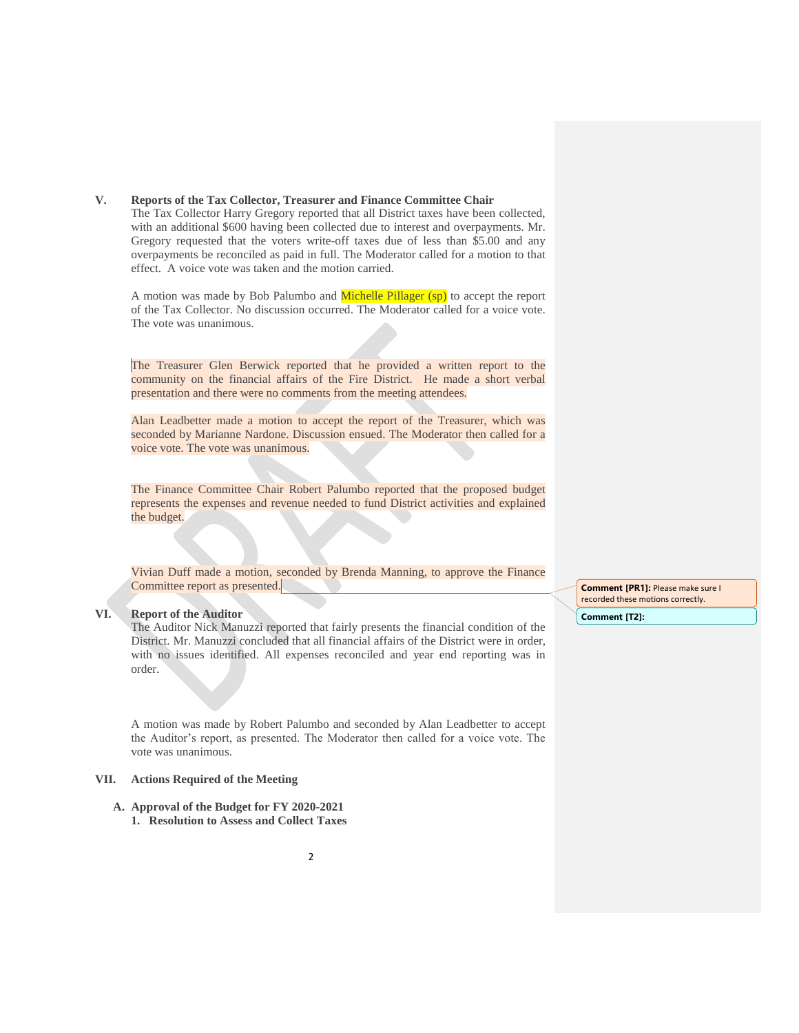## **V. Reports of the Tax Collector, Treasurer and Finance Committee Chair**

The Tax Collector Harry Gregory reported that all District taxes have been collected, with an additional \$600 having been collected due to interest and overpayments. Mr. Gregory requested that the voters write-off taxes due of less than \$5.00 and any overpayments be reconciled as paid in full. The Moderator called for a motion to that effect. A voice vote was taken and the motion carried.

A motion was made by Bob Palumbo and Michelle Pillager (sp) to accept the report of the Tax Collector. No discussion occurred. The Moderator called for a voice vote. The vote was unanimous.

The Treasurer Glen Berwick reported that he provided a written report to the community on the financial affairs of the Fire District. He made a short verbal presentation and there were no comments from the meeting attendees.

Alan Leadbetter made a motion to accept the report of the Treasurer, which was seconded by Marianne Nardone. Discussion ensued. The Moderator then called for a voice vote. The vote was unanimous.

The Finance Committee Chair Robert Palumbo reported that the proposed budget represents the expenses and revenue needed to fund District activities and explained the budget.

Vivian Duff made a motion, seconded by Brenda Manning, to approve the Finance Committee report as presented.

### **VI. Report of the Auditor**

The Auditor Nick Manuzzi reported that fairly presents the financial condition of the District. Mr. Manuzzi concluded that all financial affairs of the District were in order, with no issues identified. All expenses reconciled and year end reporting was in order.

A motion was made by Robert Palumbo and seconded by Alan Leadbetter to accept the Auditor's report, as presented. The Moderator then called for a voice vote. The vote was unanimous.

### **VII. Actions Required of the Meeting**

**A. Approval of the Budget for FY 2020-2021 1. Resolution to Assess and Collect Taxes** **Comment [PR1]:** Please make sure I recorded these motions correctly. **Comment [T2]:**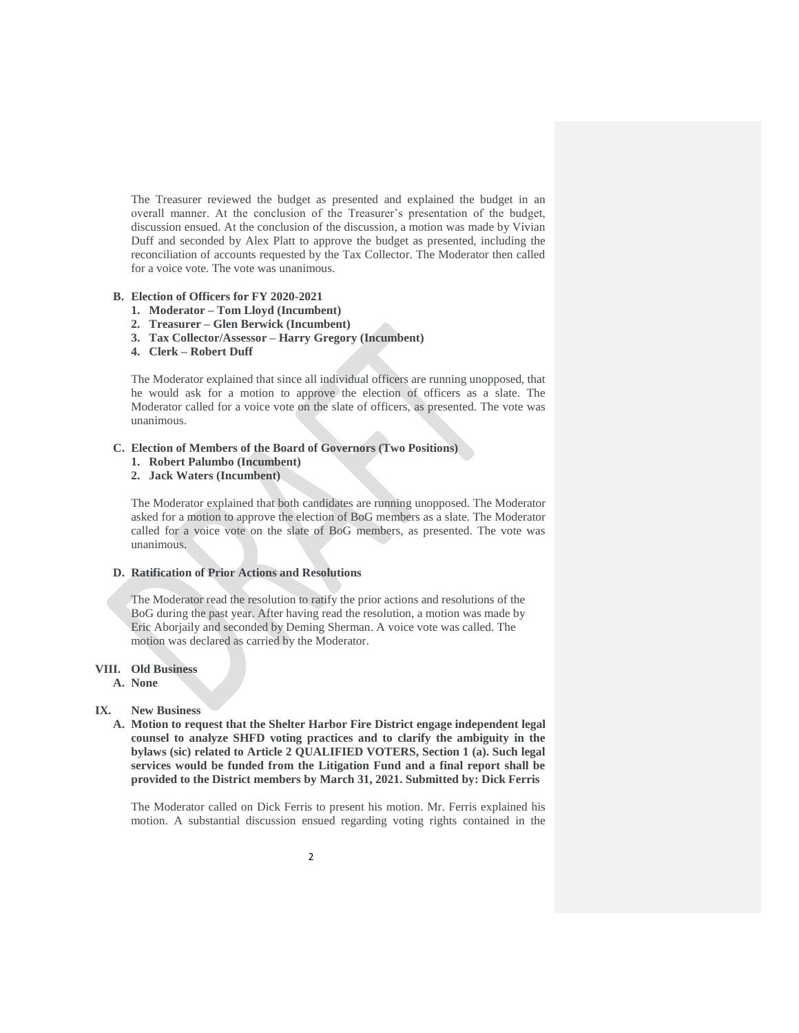The Treasurer reviewed the budget as presented and explained the budget in an overall manner. At the conclusion of the Treasurer's presentation of the budget, discussion ensued. At the conclusion of the discussion, a motion was made by Vivian Duff and seconded by Alex Platt to approve the budget as presented, including the reconciliation of accounts requested by the Tax Collector. The Moderator then called for a voice vote. The vote was unanimous.

#### **B. Election of Officers for FY 2020-2021**

- **1. Moderator – Tom Lloyd (Incumbent)**
- **2. Treasurer – Glen Berwick (Incumbent)**
- **3. Tax Collector/Assessor – Harry Gregory (Incumbent)**
- **4. Clerk – Robert Duff**

The Moderator explained that since all individual officers are running unopposed, that he would ask for a motion to approve the election of officers as a slate. The Moderator called for a voice vote on the slate of officers, as presented. The vote was unanimous.

# **C. Election of Members of the Board of Governors (Two Positions)**

- **1. Robert Palumbo (Incumbent)**
- **2. Jack Waters (Incumbent)**

The Moderator explained that both candidates are running unopposed. The Moderator asked for a motion to approve the election of BoG members as a slate. The Moderator called for a voice vote on the slate of BoG members, as presented. The vote was unanimous.

### **D. Ratification of Prior Actions and Resolutions**

The Moderator read the resolution to ratify the prior actions and resolutions of the BoG during the past year. After having read the resolution, a motion was made by Eric Aborjaily and seconded by Deming Sherman. A voice vote was called. The motion was declared as carried by the Moderator.

# **VIII. Old Business**

**A. None**

### **IX. New Business**

**A. Motion to request that the Shelter Harbor Fire District engage independent legal counsel to analyze SHFD voting practices and to clarify the ambiguity in the bylaws (sic) related to Article 2 QUALIFIED VOTERS, Section 1 (a). Such legal services would be funded from the Litigation Fund and a final report shall be provided to the District members by March 31, 2021. Submitted by: Dick Ferris**

The Moderator called on Dick Ferris to present his motion. Mr. Ferris explained his motion. A substantial discussion ensued regarding voting rights contained in the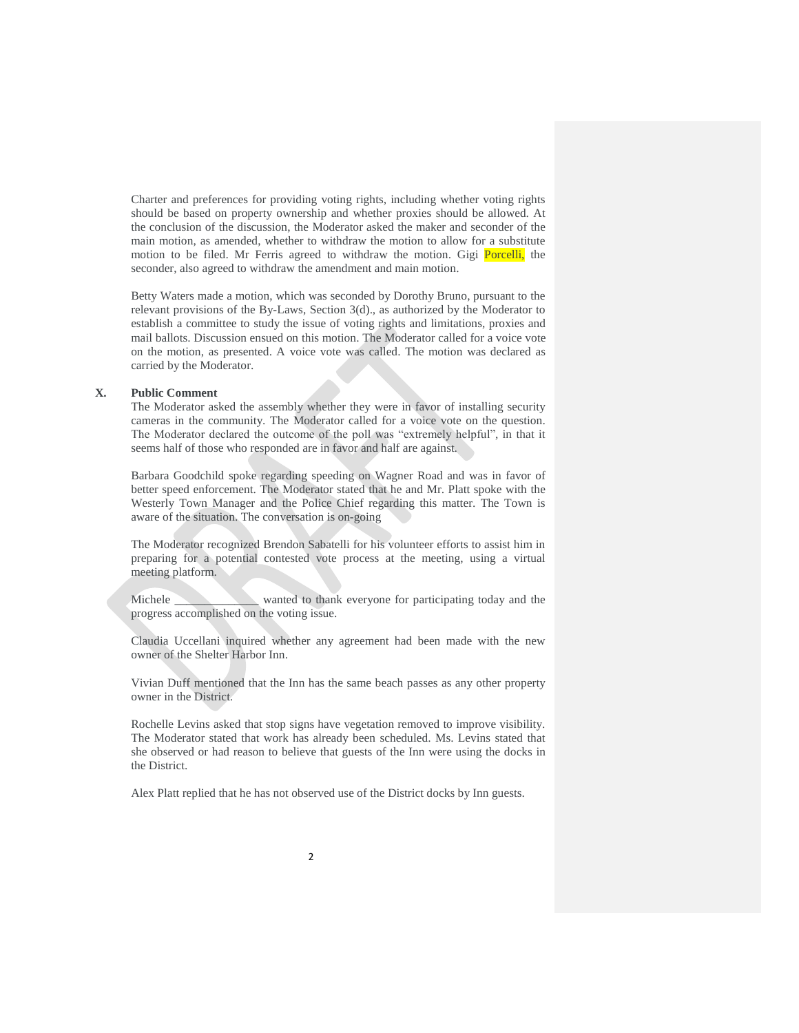Charter and preferences for providing voting rights, including whether voting rights should be based on property ownership and whether proxies should be allowed. At the conclusion of the discussion, the Moderator asked the maker and seconder of the main motion, as amended, whether to withdraw the motion to allow for a substitute motion to be filed. Mr Ferris agreed to withdraw the motion. Gigi **Porcelli**, the seconder, also agreed to withdraw the amendment and main motion.

Betty Waters made a motion, which was seconded by Dorothy Bruno, pursuant to the relevant provisions of the By-Laws, Section 3(d)., as authorized by the Moderator to establish a committee to study the issue of voting rights and limitations, proxies and mail ballots. Discussion ensued on this motion. The Moderator called for a voice vote on the motion, as presented. A voice vote was called. The motion was declared as carried by the Moderator.

## **X. Public Comment**

The Moderator asked the assembly whether they were in favor of installing security cameras in the community. The Moderator called for a voice vote on the question. The Moderator declared the outcome of the poll was "extremely helpful", in that it seems half of those who responded are in favor and half are against.

Barbara Goodchild spoke regarding speeding on Wagner Road and was in favor of better speed enforcement. The Moderator stated that he and Mr. Platt spoke with the Westerly Town Manager and the Police Chief regarding this matter. The Town is aware of the situation. The conversation is on-going

The Moderator recognized Brendon Sabatelli for his volunteer efforts to assist him in preparing for a potential contested vote process at the meeting, using a virtual meeting platform.

Michele wanted to thank everyone for participating today and the progress accomplished on the voting issue.

Claudia Uccellani inquired whether any agreement had been made with the new owner of the Shelter Harbor Inn.

Vivian Duff mentioned that the Inn has the same beach passes as any other property owner in the District.

Rochelle Levins asked that stop signs have vegetation removed to improve visibility. The Moderator stated that work has already been scheduled. Ms. Levins stated that she observed or had reason to believe that guests of the Inn were using the docks in the District.

Alex Platt replied that he has not observed use of the District docks by Inn guests.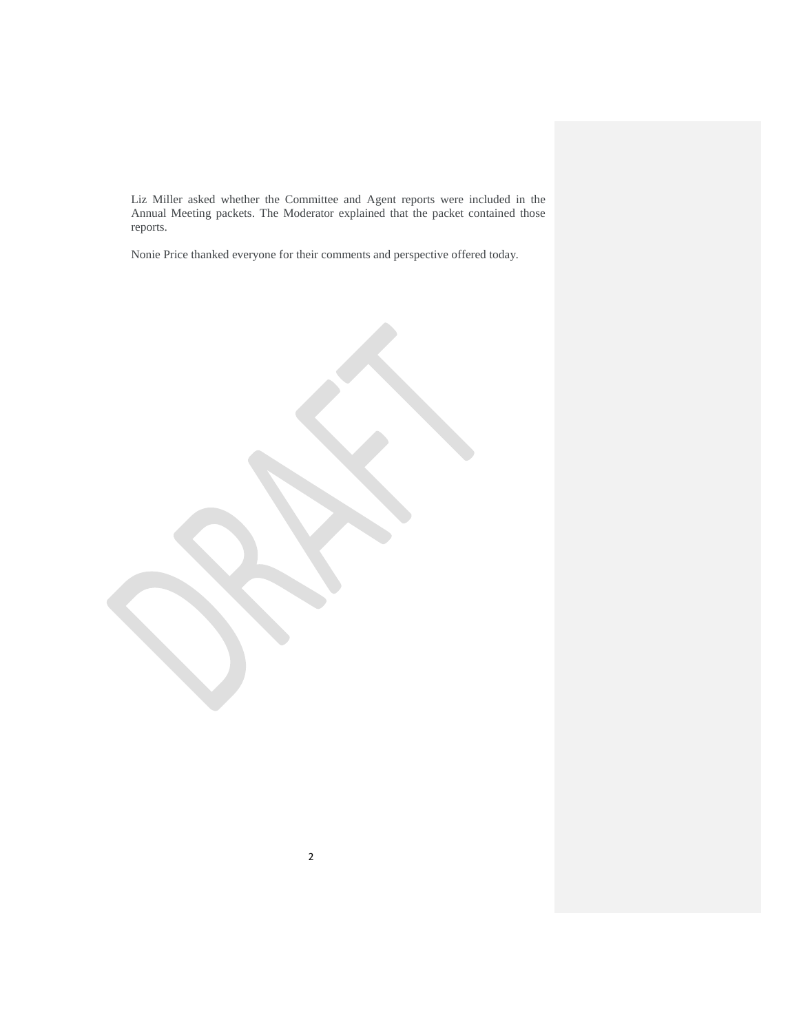Liz Miller asked whether the Committee and Agent reports were included in the Annual Meeting packets. The Moderator explained that the packet contained those reports.

Nonie Price thanked everyone for their comments and perspective offered today.

2